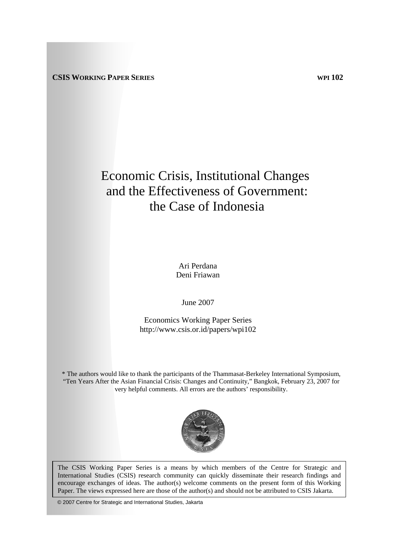# Economic Crisis, Institutional Changes and the Effectiveness of Government: the Case of Indonesia

Ari Perdana Deni Friawan

June 2007

Economics Working Paper Series http://www.csis.or.id/papers/wpi102

\* The authors would like to thank the participants of the Thammasat-Berkeley International Symposium, "Ten Years After the Asian Financial Crisis: Changes and Continuity," Bangkok, February 23, 2007 for very helpful comments. All errors are the authors' responsibility.



The CSIS Working Paper Series is a means by which members of the Centre for Strategic and International Studies (CSIS) research community can quickly disseminate their research findings and encourage exchanges of ideas. The author(s) welcome comments on the present form of this Working Paper. The views expressed here are those of the author(s) and should not be attributed to CSIS Jakarta.

© 2007 Centre for Strategic and International Studies, Jakarta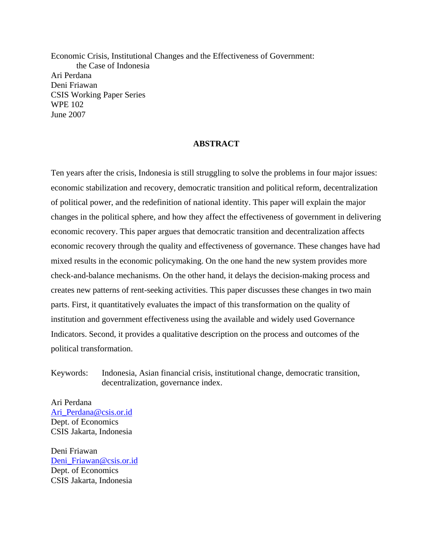Economic Crisis, Institutional Changes and the Effectiveness of Government: the Case of Indonesia Ari Perdana Deni Friawan CSIS Working Paper Series WPE 102 June 2007

# **ABSTRACT**

Ten years after the crisis, Indonesia is still struggling to solve the problems in four major issues: economic stabilization and recovery, democratic transition and political reform, decentralization of political power, and the redefinition of national identity. This paper will explain the major changes in the political sphere, and how they affect the effectiveness of government in delivering economic recovery. This paper argues that democratic transition and decentralization affects economic recovery through the quality and effectiveness of governance. These changes have had mixed results in the economic policymaking. On the one hand the new system provides more check-and-balance mechanisms. On the other hand, it delays the decision-making process and creates new patterns of rent-seeking activities. This paper discusses these changes in two main parts. First, it quantitatively evaluates the impact of this transformation on the quality of institution and government effectiveness using the available and widely used Governance Indicators. Second, it provides a qualitative description on the process and outcomes of the political transformation.

Keywords: Indonesia, Asian financial crisis, institutional change, democratic transition, decentralization, governance index.

Ari Perdana [Ari\\_Perdana@csis.or.id](mailto:Ari_Perdana@csis.or.id) Dept. of Economics CSIS Jakarta, Indonesia

Deni Friawan Deni Friawan@csis.or.id Dept. of Economics CSIS Jakarta, Indonesia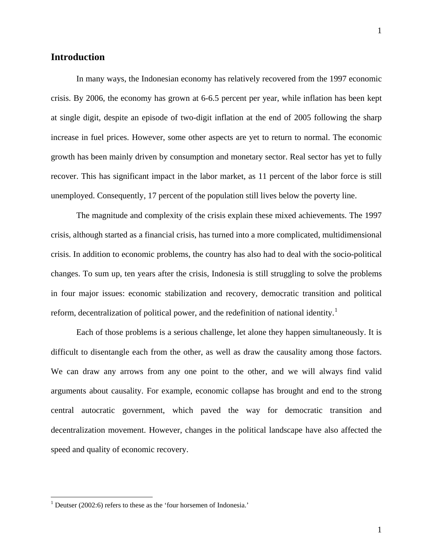In many ways, the Indonesian economy has relatively recovered from the 1997 economic crisis. By 2006, the economy has grown at 6-6.5 percent per year, while inflation has been kept at single digit, despite an episode of two-digit inflation at the end of 2005 following the sharp increase in fuel prices. However, some other aspects are yet to return to normal. The economic growth has been mainly driven by consumption and monetary sector. Real sector has yet to fully recover. This has significant impact in the labor market, as 11 percent of the labor force is still unemployed. Consequently, 17 percent of the population still lives below the poverty line.

The magnitude and complexity of the crisis explain these mixed achievements. The 1997 crisis, although started as a financial crisis, has turned into a more complicated, multidimensional crisis. In addition to economic problems, the country has also had to deal with the socio-political changes. To sum up, ten years after the crisis, Indonesia is still struggling to solve the problems in four major issues: economic stabilization and recovery, democratic transition and political reform, decentralization of political power, and the redefinition of national identity.<sup>[1](#page-2-0)</sup>

Each of those problems is a serious challenge, let alone they happen simultaneously. It is difficult to disentangle each from the other, as well as draw the causality among those factors. We can draw any arrows from any one point to the other, and we will always find valid arguments about causality. For example, economic collapse has brought and end to the strong central autocratic government, which paved the way for democratic transition and decentralization movement. However, changes in the political landscape have also affected the speed and quality of economic recovery.

<span id="page-2-0"></span><sup>&</sup>lt;sup>1</sup> Deutser (2002:6) refers to these as the 'four horsemen of Indonesia.'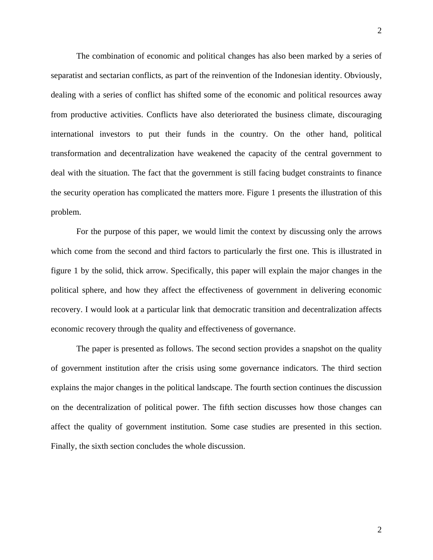The combination of economic and political changes has also been marked by a series of separatist and sectarian conflicts, as part of the reinvention of the Indonesian identity. Obviously, dealing with a series of conflict has shifted some of the economic and political resources away from productive activities. Conflicts have also deteriorated the business climate, discouraging international investors to put their funds in the country. On the other hand, political transformation and decentralization have weakened the capacity of the central government to deal with the situation. The fact that the government is still facing budget constraints to finance the security operation has complicated the matters more. Figure 1 presents the illustration of this problem.

For the purpose of this paper, we would limit the context by discussing only the arrows which come from the second and third factors to particularly the first one. This is illustrated in figure 1 by the solid, thick arrow. Specifically, this paper will explain the major changes in the political sphere, and how they affect the effectiveness of government in delivering economic recovery. I would look at a particular link that democratic transition and decentralization affects economic recovery through the quality and effectiveness of governance.

The paper is presented as follows. The second section provides a snapshot on the quality of government institution after the crisis using some governance indicators. The third section explains the major changes in the political landscape. The fourth section continues the discussion on the decentralization of political power. The fifth section discusses how those changes can affect the quality of government institution. Some case studies are presented in this section. Finally, the sixth section concludes the whole discussion.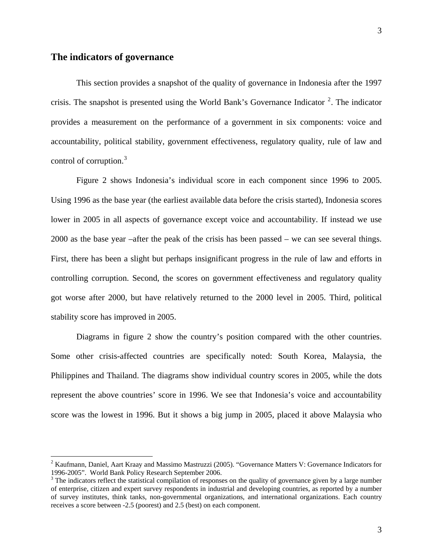$\overline{a}$ 

This section provides a snapshot of the quality of governance in Indonesia after the 1997 crisis. The snapshot is presented using the World Bank's Governance Indicator  $2$ . The indicator provides a measurement on the performance of a government in six components: voice and accountability, political stability, government effectiveness, regulatory quality, rule of law and control of corruption.<sup>[3](#page-4-1)</sup>

Figure 2 shows Indonesia's individual score in each component since 1996 to 2005. Using 1996 as the base year (the earliest available data before the crisis started), Indonesia scores lower in 2005 in all aspects of governance except voice and accountability. If instead we use 2000 as the base year –after the peak of the crisis has been passed – we can see several things. First, there has been a slight but perhaps insignificant progress in the rule of law and efforts in controlling corruption. Second, the scores on government effectiveness and regulatory quality got worse after 2000, but have relatively returned to the 2000 level in 2005. Third, political stability score has improved in 2005.

Diagrams in figure 2 show the country's position compared with the other countries. Some other crisis-affected countries are specifically noted: South Korea, Malaysia, the Philippines and Thailand. The diagrams show individual country scores in 2005, while the dots represent the above countries' score in 1996. We see that Indonesia's voice and accountability score was the lowest in 1996. But it shows a big jump in 2005, placed it above Malaysia who

<span id="page-4-0"></span><sup>&</sup>lt;sup>2</sup> Kaufmann, Daniel, Aart Kraay and Massimo Mastruzzi (2005). "Governance Matters V: Governance Indicators for 1996-2005". World Bank Policy Research September 2006.

<span id="page-4-1"></span> $3$  The indicators reflect the statistical compilation of responses on the quality of governance given by a large number of enterprise, citizen and expert survey respondents in industrial and developing countries, as reported by a number of survey institutes, think tanks, non-governmental organizations, and international organizations. Each country receives a score between -2.5 (poorest) and 2.5 (best) on each component.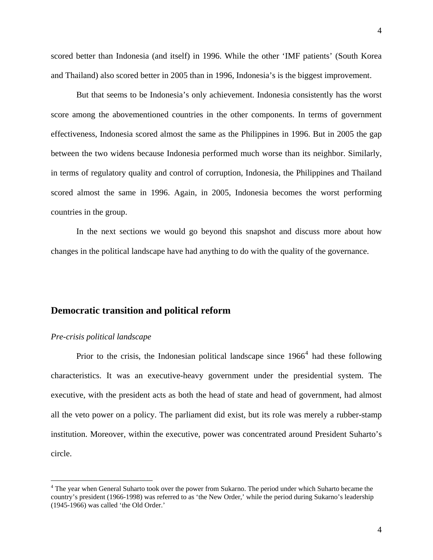4

scored better than Indonesia (and itself) in 1996. While the other 'IMF patients' (South Korea and Thailand) also scored better in 2005 than in 1996, Indonesia's is the biggest improvement.

But that seems to be Indonesia's only achievement. Indonesia consistently has the worst score among the abovementioned countries in the other components. In terms of government effectiveness, Indonesia scored almost the same as the Philippines in 1996. But in 2005 the gap between the two widens because Indonesia performed much worse than its neighbor. Similarly, in terms of regulatory quality and control of corruption, Indonesia, the Philippines and Thailand scored almost the same in 1996. Again, in 2005, Indonesia becomes the worst performing countries in the group.

In the next sections we would go beyond this snapshot and discuss more about how changes in the political landscape have had anything to do with the quality of the governance.

# **Democratic transition and political reform**

## *Pre-crisis political landscape*

 $\overline{a}$ 

Prior to the crisis, the Indonesian political landscape since  $1966<sup>4</sup>$  $1966<sup>4</sup>$  $1966<sup>4</sup>$  had these following characteristics. It was an executive-heavy government under the presidential system. The executive, with the president acts as both the head of state and head of government, had almost all the veto power on a policy. The parliament did exist, but its role was merely a rubber-stamp institution. Moreover, within the executive, power was concentrated around President Suharto's circle.

<span id="page-5-0"></span><sup>&</sup>lt;sup>4</sup> The year when General Suharto took over the power from Sukarno. The period under which Suharto became the country's president (1966-1998) was referred to as 'the New Order,' while the period during Sukarno's leadership (1945-1966) was called 'the Old Order.'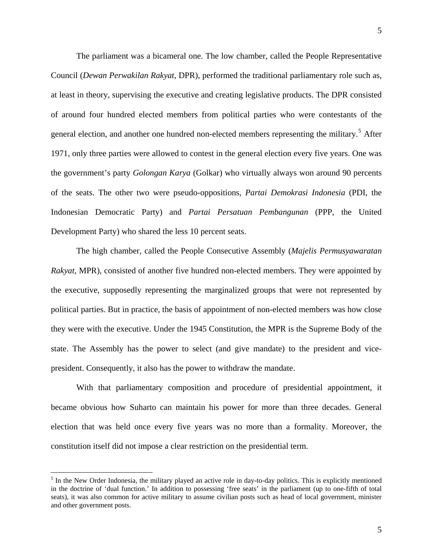<span id="page-6-0"></span>The parliament was a bicameral one. The low chamber, called the People Representative Council (*Dewan Perwakilan Rakyat,* DPR), performed the traditional parliamentary role such as, at least in theory, supervising the executive and creating legislative products. The DPR consisted of around four hundred elected members from political parties who were contestants of the general election, and another one hundred non-elected members representing the military.<sup>[5](#page-6-0)</sup> After 1971, only three parties were allowed to contest in the general election every five years. One was the government's party *Golongan Karya* (Golkar) who virtually always won around 90 percents of the seats. The other two were pseudo-oppositions, *Partai Demokrasi Indonesia* (PDI, the Indonesian Democratic Party) and *Partai Persatuan Pembangunan* (PPP, the United Development Party) who shared the less 10 percent seats.

The high chamber, called the People Consecutive Assembly (*Majelis Permusyawaratan Rakyat,* MPR), consisted of another five hundred non-elected members. They were appointed by the executive, supposedly representing the marginalized groups that were not represented by political parties. But in practice, the basis of appointment of non-elected members was how close they were with the executive. Under the 1945 Constitution, the MPR is the Supreme Body of the state. The Assembly has the power to select (and give mandate) to the president and vicepresident. Consequently, it also has the power to withdraw the mandate.

With that parliamentary composition and procedure of presidential appointment, it became obvious how Suharto can maintain his power for more than three decades. General election that was held once every five years was no more than a formality. Moreover, the constitution itself did not impose a clear restriction on the presidential term.

<u>.</u>

 $<sup>5</sup>$  In the New Order Indonesia, the military played an active role in day-to-day politics. This is explicitly mentioned</sup> in the doctrine of 'dual function.' In addition to possessing 'free seats' in the parliament (up to one-fifth of total seats), it was also common for active military to assume civilian posts such as head of local government, minister and other government posts.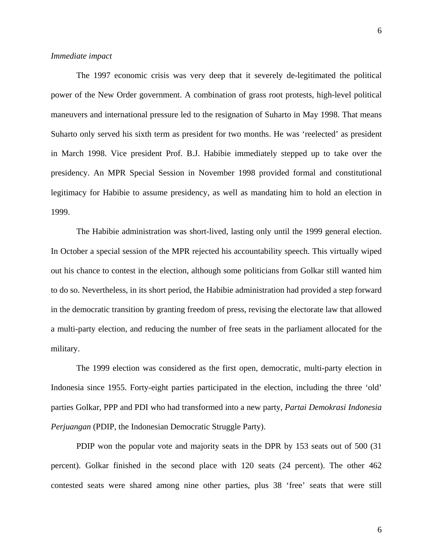#### *Immediate impact*

The 1997 economic crisis was very deep that it severely de-legitimated the political power of the New Order government. A combination of grass root protests, high-level political maneuvers and international pressure led to the resignation of Suharto in May 1998. That means Suharto only served his sixth term as president for two months. He was 'reelected' as president in March 1998. Vice president Prof. B.J. Habibie immediately stepped up to take over the presidency. An MPR Special Session in November 1998 provided formal and constitutional legitimacy for Habibie to assume presidency, as well as mandating him to hold an election in 1999.

The Habibie administration was short-lived, lasting only until the 1999 general election. In October a special session of the MPR rejected his accountability speech. This virtually wiped out his chance to contest in the election, although some politicians from Golkar still wanted him to do so. Nevertheless, in its short period, the Habibie administration had provided a step forward in the democratic transition by granting freedom of press, revising the electorate law that allowed a multi-party election, and reducing the number of free seats in the parliament allocated for the military.

The 1999 election was considered as the first open, democratic, multi-party election in Indonesia since 1955. Forty-eight parties participated in the election, including the three 'old' parties Golkar, PPP and PDI who had transformed into a new party, *Partai Demokrasi Indonesia Perjuangan* (PDIP, the Indonesian Democratic Struggle Party).

PDIP won the popular vote and majority seats in the DPR by 153 seats out of 500 (31 percent). Golkar finished in the second place with 120 seats (24 percent). The other 462 contested seats were shared among nine other parties, plus 38 'free' seats that were still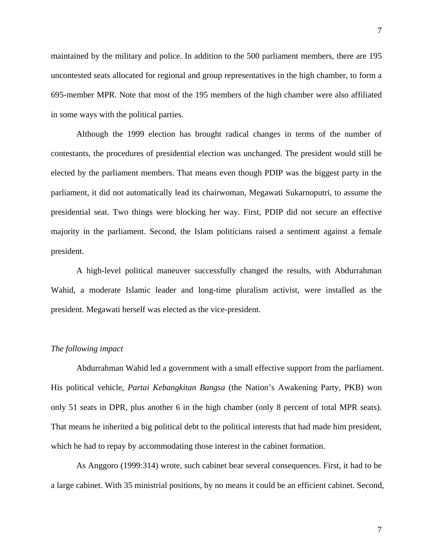maintained by the military and police. In addition to the 500 parliament members, there are 195 uncontested seats allocated for regional and group representatives in the high chamber, to form a

695-member MPR. Note that most of the 195 members of the high chamber were also affiliated in some ways with the political parties.

Although the 1999 election has brought radical changes in terms of the number of contestants, the procedures of presidential election was unchanged. The president would still be elected by the parliament members. That means even though PDIP was the biggest party in the parliament, it did not automatically lead its chairwoman, Megawati Sukarnoputri, to assume the presidential seat. Two things were blocking her way. First, PDIP did not secure an effective majority in the parliament. Second, the Islam politicians raised a sentiment against a female president.

A high-level political maneuver successfully changed the results, with Abdurrahman Wahid, a moderate Islamic leader and long-time pluralism activist, were installed as the president. Megawati herself was elected as the vice-president.

#### *The following impact*

Abdurrahman Wahid led a government with a small effective support from the parliament. His political vehicle, *Partai Kebangkitan Bangsa* (the Nation's Awakening Party, PKB) won only 51 seats in DPR, plus another 6 in the high chamber (only 8 percent of total MPR seats). That means he inherited a big political debt to the political interests that had made him president, which he had to repay by accommodating those interest in the cabinet formation.

As Anggoro (1999:314) wrote, such cabinet bear several consequences. First, it had to be a large cabinet. With 35 ministrial positions, by no means it could be an efficient cabinet. Second,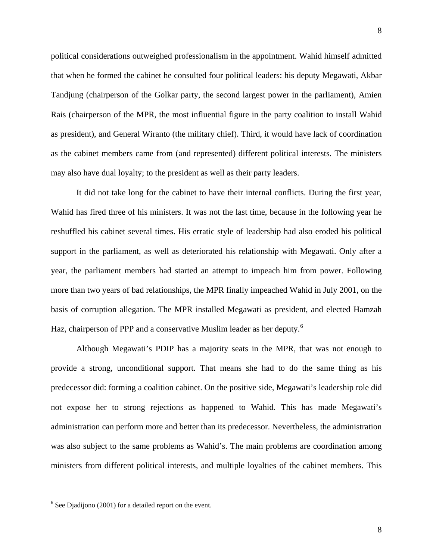<span id="page-9-0"></span>political considerations outweighed professionalism in the appointment. Wahid himself admitted that when he formed the cabinet he consulted four political leaders: his deputy Megawati, Akbar Tandjung (chairperson of the Golkar party, the second largest power in the parliament), Amien Rais (chairperson of the MPR, the most influential figure in the party coalition to install Wahid as president), and General Wiranto (the military chief). Third, it would have lack of coordination as the cabinet members came from (and represented) different political interests. The ministers may also have dual loyalty; to the president as well as their party leaders.

It did not take long for the cabinet to have their internal conflicts. During the first year, Wahid has fired three of his ministers. It was not the last time, because in the following year he reshuffled his cabinet several times. His erratic style of leadership had also eroded his political support in the parliament, as well as deteriorated his relationship with Megawati. Only after a year, the parliament members had started an attempt to impeach him from power. Following more than two years of bad relationships, the MPR finally impeached Wahid in July 2001, on the basis of corruption allegation. The MPR installed Megawati as president, and elected Hamzah Haz, chairperson of PPP and a conservative Muslim leader as her deputy.<sup>[6](#page-9-0)</sup>

Although Megawati's PDIP has a majority seats in the MPR, that was not enough to provide a strong, unconditional support. That means she had to do the same thing as his predecessor did: forming a coalition cabinet. On the positive side, Megawati's leadership role did not expose her to strong rejections as happened to Wahid. This has made Megawati's administration can perform more and better than its predecessor. Nevertheless, the administration was also subject to the same problems as Wahid's. The main problems are coordination among ministers from different political interests, and multiple loyalties of the cabinet members. This

 $6$  See Djadijono (2001) for a detailed report on the event.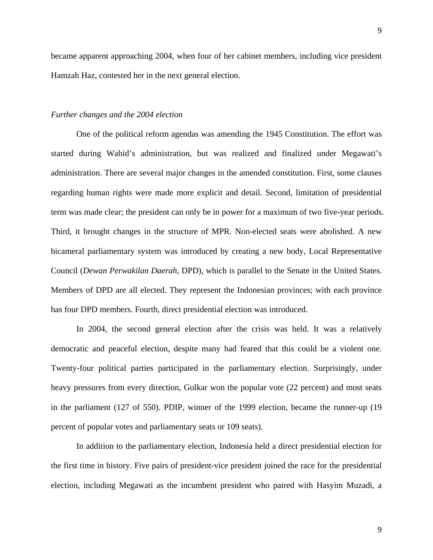became apparent approaching 2004, when four of her cabinet members, including vice president Hamzah Haz, contested her in the next general election.

#### *Further changes and the 2004 election*

One of the political reform agendas was amending the 1945 Constitution. The effort was started during Wahid's administration, but was realized and finalized under Megawati's administration. There are several major changes in the amended constitution. First, some clauses regarding human rights were made more explicit and detail. Second, limitation of presidential term was made clear; the president can only be in power for a maximum of two five-year periods. Third, it brought changes in the structure of MPR. Non-elected seats were abolished. A new bicameral parliamentary system was introduced by creating a new body, Local Representative Council (*Dewan Perwakilan Daerah,* DPD), which is parallel to the Senate in the United States. Members of DPD are all elected. They represent the Indonesian provinces; with each province has four DPD members. Fourth, direct presidential election was introduced.

In 2004, the second general election after the crisis was held. It was a relatively democratic and peaceful election, despite many had feared that this could be a violent one. Twenty-four political parties participated in the parliamentary election. Surprisingly, under heavy pressures from every direction, Golkar won the popular vote (22 percent) and most seats in the parliament (127 of 550). PDIP, winner of the 1999 election, became the runner-up (19 percent of popular votes and parliamentary seats or 109 seats).

In addition to the parliamentary election, Indonesia held a direct presidential election for the first time in history. Five pairs of president-vice president joined the race for the presidential election, including Megawati as the incumbent president who paired with Hasyim Muzadi, a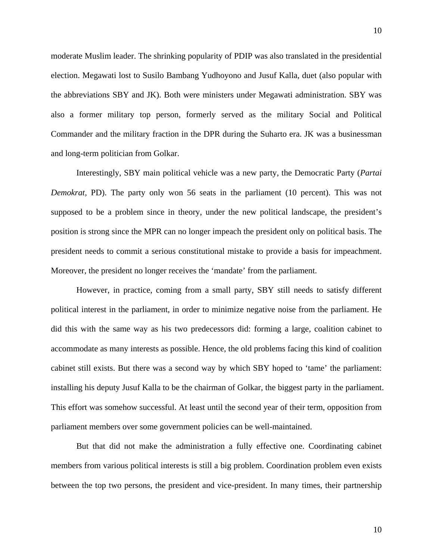moderate Muslim leader. The shrinking popularity of PDIP was also translated in the presidential election. Megawati lost to Susilo Bambang Yudhoyono and Jusuf Kalla, duet (also popular with the abbreviations SBY and JK). Both were ministers under Megawati administration. SBY was also a former military top person, formerly served as the military Social and Political Commander and the military fraction in the DPR during the Suharto era. JK was a businessman and long-term politician from Golkar.

Interestingly, SBY main political vehicle was a new party, the Democratic Party (*Partai Demokrat*, PD). The party only won 56 seats in the parliament (10 percent). This was not supposed to be a problem since in theory, under the new political landscape, the president's position is strong since the MPR can no longer impeach the president only on political basis. The president needs to commit a serious constitutional mistake to provide a basis for impeachment. Moreover, the president no longer receives the 'mandate' from the parliament.

However, in practice, coming from a small party, SBY still needs to satisfy different political interest in the parliament, in order to minimize negative noise from the parliament. He did this with the same way as his two predecessors did: forming a large, coalition cabinet to accommodate as many interests as possible. Hence, the old problems facing this kind of coalition cabinet still exists. But there was a second way by which SBY hoped to 'tame' the parliament: installing his deputy Jusuf Kalla to be the chairman of Golkar, the biggest party in the parliament. This effort was somehow successful. At least until the second year of their term, opposition from parliament members over some government policies can be well-maintained.

But that did not make the administration a fully effective one. Coordinating cabinet members from various political interests is still a big problem. Coordination problem even exists between the top two persons, the president and vice-president. In many times, their partnership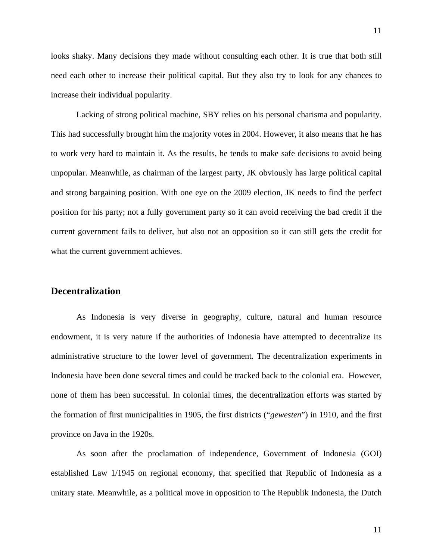looks shaky. Many decisions they made without consulting each other. It is true that both still need each other to increase their political capital. But they also try to look for any chances to increase their individual popularity.

Lacking of strong political machine, SBY relies on his personal charisma and popularity. This had successfully brought him the majority votes in 2004. However, it also means that he has to work very hard to maintain it. As the results, he tends to make safe decisions to avoid being unpopular. Meanwhile, as chairman of the largest party, JK obviously has large political capital and strong bargaining position. With one eye on the 2009 election, JK needs to find the perfect position for his party; not a fully government party so it can avoid receiving the bad credit if the current government fails to deliver, but also not an opposition so it can still gets the credit for what the current government achieves.

# **Decentralization**

As Indonesia is very diverse in geography, culture, natural and human resource endowment, it is very nature if the authorities of Indonesia have attempted to decentralize its administrative structure to the lower level of government. The decentralization experiments in Indonesia have been done several times and could be tracked back to the colonial era. However, none of them has been successful. In colonial times, the decentralization efforts was started by the formation of first municipalities in 1905, the first districts ("*gewesten*") in 1910, and the first province on Java in the 1920s.

As soon after the proclamation of independence, Government of Indonesia (GOI) established Law 1/1945 on regional economy, that specified that Republic of Indonesia as a unitary state. Meanwhile, as a political move in opposition to The Republik Indonesia, the Dutch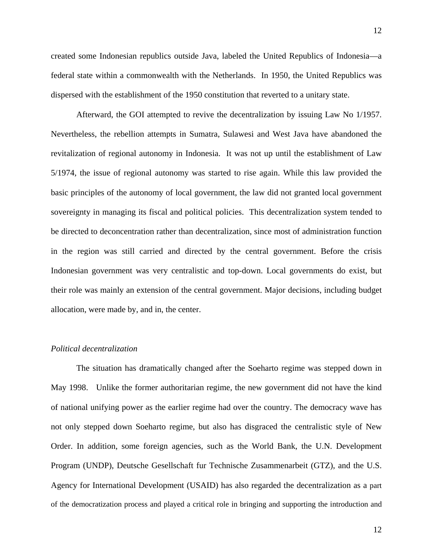created some Indonesian republics outside Java, labeled the United Republics of Indonesia—a federal state within a commonwealth with the Netherlands. In 1950, the United Republics was dispersed with the establishment of the 1950 constitution that reverted to a unitary state.

Afterward, the GOI attempted to revive the decentralization by issuing Law No 1/1957. Nevertheless, the rebellion attempts in Sumatra, Sulawesi and West Java have abandoned the revitalization of regional autonomy in Indonesia. It was not up until the establishment of Law 5/1974, the issue of regional autonomy was started to rise again. While this law provided the basic principles of the autonomy of local government, the law did not granted local government sovereignty in managing its fiscal and political policies. This decentralization system tended to be directed to deconcentration rather than decentralization, since most of administration function in the region was still carried and directed by the central government. Before the crisis Indonesian government was very centralistic and top-down. Local governments do exist, but their role was mainly an extension of the central government. Major decisions, including budget allocation, were made by, and in, the center.

#### *Political decentralization*

The situation has dramatically changed after the Soeharto regime was stepped down in May 1998. Unlike the former authoritarian regime, the new government did not have the kind of national unifying power as the earlier regime had over the country. The democracy wave has not only stepped down Soeharto regime, but also has disgraced the centralistic style of New Order. In addition, some foreign agencies, such as the World Bank, the U.N. Development Program (UNDP), Deutsche Gesellschaft fur Technische Zusammenarbeit (GTZ), and the U.S. Agency for International Development (USAID) has also regarded the decentralization as a part of the democratization process and played a critical role in bringing and supporting the introduction and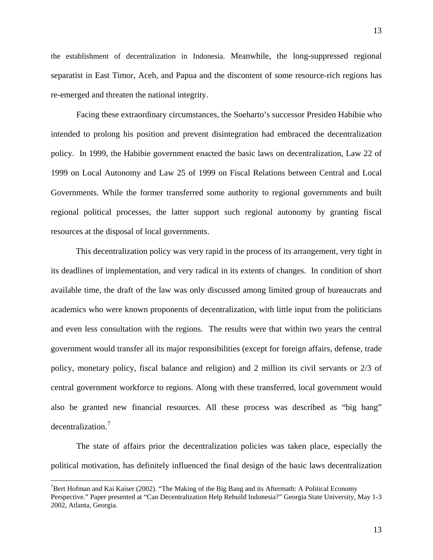<span id="page-14-0"></span>the establishment of decentralization in Indonesia. Meanwhile, the long-suppressed regional separatist in East Timor, Aceh, and Papua and the discontent of some resource-rich regions has re-emerged and threaten the national integrity.

Facing these extraordinary circumstances, the Soeharto's successor Presiden Habibie who intended to prolong his position and prevent disintegration had embraced the decentralization policy. In 1999, the Habibie government enacted the basic laws on decentralization, Law 22 of 1999 on Local Autonomy and Law 25 of 1999 on Fiscal Relations between Central and Local Governments. While the former transferred some authority to regional governments and built regional political processes, the latter support such regional autonomy by granting fiscal resources at the disposal of local governments.

This decentralization policy was very rapid in the process of its arrangement, very tight in its deadlines of implementation, and very radical in its extents of changes. In condition of short available time, the draft of the law was only discussed among limited group of bureaucrats and academics who were known proponents of decentralization, with little input from the politicians and even less consultation with the regions. The results were that within two years the central government would transfer all its major responsibilities (except for foreign affairs, defense, trade policy, monetary policy, fiscal balance and religion) and 2 million its civil servants or 2/3 of central government workforce to regions. Along with these transferred, local government would also be granted new financial resources. All these process was described as "big bang" decentralization.<sup>[7](#page-14-0)</sup>

The state of affairs prior the decentralization policies was taken place, especially the political motivation, has definitely influenced the final design of the basic laws decentralization

<sup>&</sup>lt;sup>7</sup>Bert Hofman and Kai Kaiser (2002). "The Making of the Big Bang and its Aftermath: A Political Economy Perspective." Paper presented at "Can Decentralization Help Rebuild Indonesia?" Georgia State University, May 1-3 2002, Atlanta, Georgia.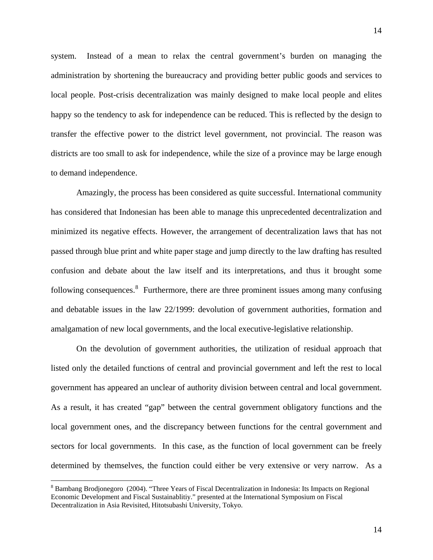<span id="page-15-0"></span>system. Instead of a mean to relax the central government's burden on managing the administration by shortening the bureaucracy and providing better public goods and services to local people. Post-crisis decentralization was mainly designed to make local people and elites happy so the tendency to ask for independence can be reduced. This is reflected by the design to transfer the effective power to the district level government, not provincial. The reason was districts are too small to ask for independence, while the size of a province may be large enough to demand independence.

Amazingly, the process has been considered as quite successful. International community has considered that Indonesian has been able to manage this unprecedented decentralization and minimized its negative effects. However, the arrangement of decentralization laws that has not passed through blue print and white paper stage and jump directly to the law drafting has resulted confusion and debate about the law itself and its interpretations, and thus it brought some following consequences. <sup>[8](#page-15-0)</sup> Furthermore, there are three prominent issues among many confusing and debatable issues in the law 22/1999: devolution of government authorities, formation and amalgamation of new local governments, and the local executive-legislative relationship.

On the devolution of government authorities, the utilization of residual approach that listed only the detailed functions of central and provincial government and left the rest to local government has appeared an unclear of authority division between central and local government. As a result, it has created "gap" between the central government obligatory functions and the local government ones, and the discrepancy between functions for the central government and sectors for local governments. In this case, as the function of local government can be freely determined by themselves, the function could either be very extensive or very narrow. As a

<sup>&</sup>lt;sup>8</sup> Bambang Brodjonegoro (2004). "Three Years of Fiscal Decentralization in Indonesia: Its Impacts on Regional Economic Development and Fiscal Sustainablitiy." presented at the International Symposium on Fiscal Decentralization in Asia Revisited, Hitotsubashi University, Tokyo.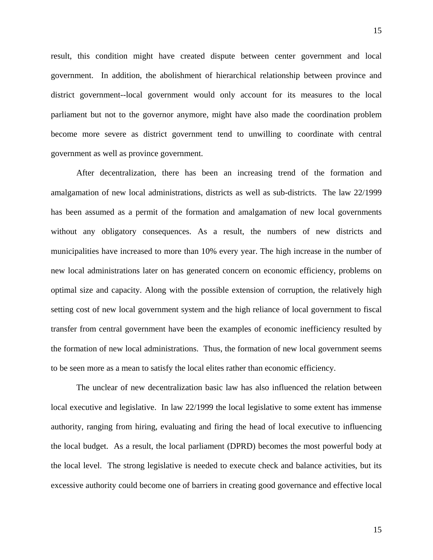result, this condition might have created dispute between center government and local government. In addition, the abolishment of hierarchical relationship between province and district government--local government would only account for its measures to the local parliament but not to the governor anymore, might have also made the coordination problem become more severe as district government tend to unwilling to coordinate with central government as well as province government.

After decentralization, there has been an increasing trend of the formation and amalgamation of new local administrations, districts as well as sub-districts. The law 22/1999 has been assumed as a permit of the formation and amalgamation of new local governments without any obligatory consequences. As a result, the numbers of new districts and municipalities have increased to more than 10% every year. The high increase in the number of new local administrations later on has generated concern on economic efficiency, problems on optimal size and capacity. Along with the possible extension of corruption, the relatively high setting cost of new local government system and the high reliance of local government to fiscal transfer from central government have been the examples of economic inefficiency resulted by the formation of new local administrations. Thus, the formation of new local government seems to be seen more as a mean to satisfy the local elites rather than economic efficiency.

The unclear of new decentralization basic law has also influenced the relation between local executive and legislative. In law 22/1999 the local legislative to some extent has immense authority, ranging from hiring, evaluating and firing the head of local executive to influencing the local budget. As a result, the local parliament (DPRD) becomes the most powerful body at the local level. The strong legislative is needed to execute check and balance activities, but its excessive authority could become one of barriers in creating good governance and effective local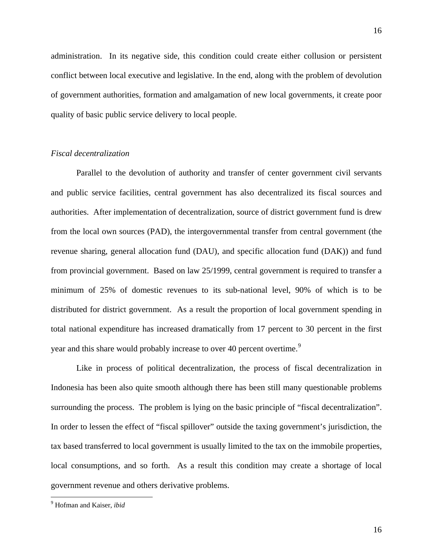<span id="page-17-0"></span>administration. In its negative side, this condition could create either collusion or persistent conflict between local executive and legislative. In the end, along with the problem of devolution of government authorities, formation and amalgamation of new local governments, it create poor quality of basic public service delivery to local people.

# *Fiscal decentralization*

Parallel to the devolution of authority and transfer of center government civil servants and public service facilities, central government has also decentralized its fiscal sources and authorities. After implementation of decentralization, source of district government fund is drew from the local own sources (PAD), the intergovernmental transfer from central government (the revenue sharing, general allocation fund (DAU), and specific allocation fund (DAK)) and fund from provincial government. Based on law 25/1999, central government is required to transfer a minimum of 25% of domestic revenues to its sub-national level, 90% of which is to be distributed for district government. As a result the proportion of local government spending in total national expenditure has increased dramatically from 17 percent to 30 percent in the first year and this share would probably increase to over 40 percent overtime.<sup>[9](#page-17-0)</sup>

Like in process of political decentralization, the process of fiscal decentralization in Indonesia has been also quite smooth although there has been still many questionable problems surrounding the process. The problem is lying on the basic principle of "fiscal decentralization". In order to lessen the effect of "fiscal spillover" outside the taxing government's jurisdiction, the tax based transferred to local government is usually limited to the tax on the immobile properties, local consumptions, and so forth. As a result this condition may create a shortage of local government revenue and others derivative problems.

<sup>9</sup> Hofman and Kaiser, *ibid*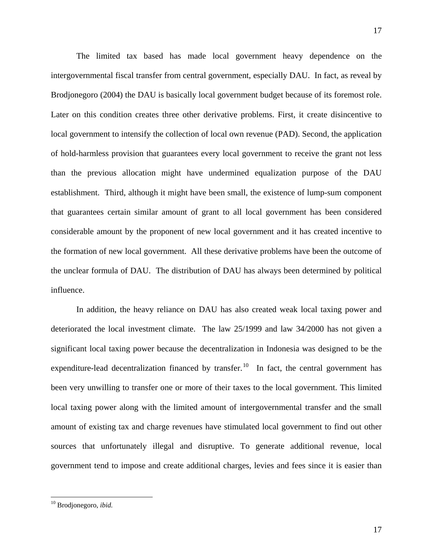<span id="page-18-0"></span> The limited tax based has made local government heavy dependence on the intergovernmental fiscal transfer from central government, especially DAU. In fact, as reveal by Brodjonegoro (2004) the DAU is basically local government budget because of its foremost role. Later on this condition creates three other derivative problems. First, it create disincentive to local government to intensify the collection of local own revenue (PAD). Second, the application of hold-harmless provision that guarantees every local government to receive the grant not less than the previous allocation might have undermined equalization purpose of the DAU establishment. Third, although it might have been small, the existence of lump-sum component that guarantees certain similar amount of grant to all local government has been considered considerable amount by the proponent of new local government and it has created incentive to the formation of new local government. All these derivative problems have been the outcome of the unclear formula of DAU. The distribution of DAU has always been determined by political influence.

 In addition, the heavy reliance on DAU has also created weak local taxing power and deteriorated the local investment climate. The law 25/1999 and law 34/2000 has not given a significant local taxing power because the decentralization in Indonesia was designed to be the expenditure-lead decentralization financed by transfer.<sup>[10](#page-18-0)</sup> In fact, the central government has been very unwilling to transfer one or more of their taxes to the local government. This limited local taxing power along with the limited amount of intergovernmental transfer and the small amount of existing tax and charge revenues have stimulated local government to find out other sources that unfortunately illegal and disruptive. To generate additional revenue, local government tend to impose and create additional charges, levies and fees since it is easier than

<sup>10</sup> Brodjonegoro, *ibid.*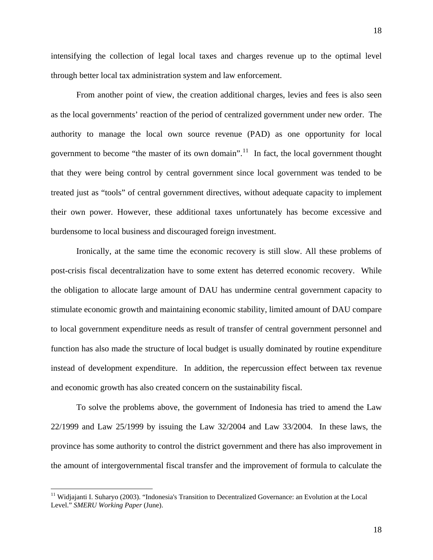<span id="page-19-0"></span>intensifying the collection of legal local taxes and charges revenue up to the optimal level through better local tax administration system and law enforcement.

 From another point of view, the creation additional charges, levies and fees is also seen as the local governments' reaction of the period of centralized government under new order. The authority to manage the local own source revenue (PAD) as one opportunity for local government to become "the master of its own domain".<sup>[11](#page-19-0)</sup> In fact, the local government thought that they were being control by central government since local government was tended to be treated just as "tools" of central government directives, without adequate capacity to implement their own power. However, these additional taxes unfortunately has become excessive and burdensome to local business and discouraged foreign investment.

 Ironically, at the same time the economic recovery is still slow. All these problems of post-crisis fiscal decentralization have to some extent has deterred economic recovery. While the obligation to allocate large amount of DAU has undermine central government capacity to stimulate economic growth and maintaining economic stability, limited amount of DAU compare to local government expenditure needs as result of transfer of central government personnel and function has also made the structure of local budget is usually dominated by routine expenditure instead of development expenditure. In addition, the repercussion effect between tax revenue and economic growth has also created concern on the sustainability fiscal.

 To solve the problems above, the government of Indonesia has tried to amend the Law 22/1999 and Law 25/1999 by issuing the Law 32/2004 and Law 33/2004. In these laws, the province has some authority to control the district government and there has also improvement in the amount of intergovernmental fiscal transfer and the improvement of formula to calculate the

<sup>&</sup>lt;sup>11</sup> Widjajanti I. Suharyo (2003). "Indonesia's Transition to Decentralized Governance: an Evolution at the Local Level." *SMERU Working Paper* (June).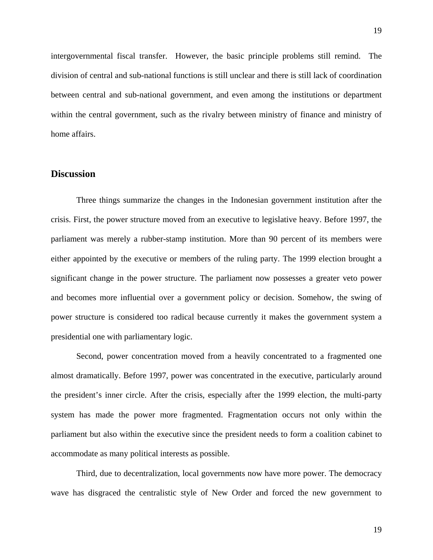intergovernmental fiscal transfer. However, the basic principle problems still remind. The division of central and sub-national functions is still unclear and there is still lack of coordination between central and sub-national government, and even among the institutions or department within the central government, such as the rivalry between ministry of finance and ministry of home affairs.

# **Discussion**

Three things summarize the changes in the Indonesian government institution after the crisis. First, the power structure moved from an executive to legislative heavy. Before 1997, the parliament was merely a rubber-stamp institution. More than 90 percent of its members were either appointed by the executive or members of the ruling party. The 1999 election brought a significant change in the power structure. The parliament now possesses a greater veto power and becomes more influential over a government policy or decision. Somehow, the swing of power structure is considered too radical because currently it makes the government system a presidential one with parliamentary logic.

Second, power concentration moved from a heavily concentrated to a fragmented one almost dramatically. Before 1997, power was concentrated in the executive, particularly around the president's inner circle. After the crisis, especially after the 1999 election, the multi-party system has made the power more fragmented. Fragmentation occurs not only within the parliament but also within the executive since the president needs to form a coalition cabinet to accommodate as many political interests as possible.

Third, due to decentralization, local governments now have more power. The democracy wave has disgraced the centralistic style of New Order and forced the new government to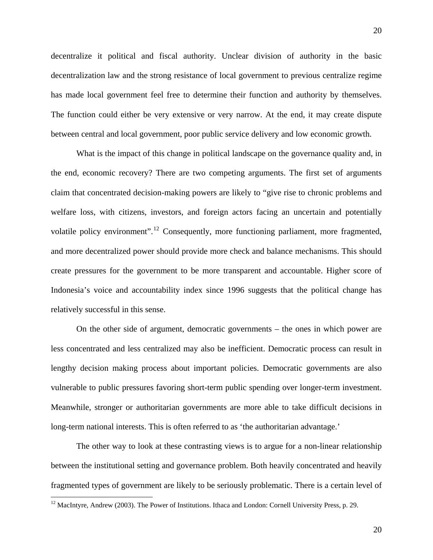<span id="page-21-0"></span>decentralize it political and fiscal authority. Unclear division of authority in the basic decentralization law and the strong resistance of local government to previous centralize regime has made local government feel free to determine their function and authority by themselves. The function could either be very extensive or very narrow. At the end, it may create dispute between central and local government, poor public service delivery and low economic growth.

What is the impact of this change in political landscape on the governance quality and, in the end, economic recovery? There are two competing arguments. The first set of arguments claim that concentrated decision-making powers are likely to "give rise to chronic problems and welfare loss, with citizens, investors, and foreign actors facing an uncertain and potentially volatile policy environment".<sup>[12](#page-21-0)</sup> Consequently, more functioning parliament, more fragmented, and more decentralized power should provide more check and balance mechanisms. This should create pressures for the government to be more transparent and accountable. Higher score of Indonesia's voice and accountability index since 1996 suggests that the political change has relatively successful in this sense.

On the other side of argument, democratic governments – the ones in which power are less concentrated and less centralized may also be inefficient. Democratic process can result in lengthy decision making process about important policies. Democratic governments are also vulnerable to public pressures favoring short-term public spending over longer-term investment. Meanwhile, stronger or authoritarian governments are more able to take difficult decisions in long-term national interests. This is often referred to as 'the authoritarian advantage.'

The other way to look at these contrasting views is to argue for a non-linear relationship between the institutional setting and governance problem. Both heavily concentrated and heavily fragmented types of government are likely to be seriously problematic. There is a certain level of

<sup>&</sup>lt;sup>12</sup> MacIntyre, Andrew (2003). The Power of Institutions. Ithaca and London: Cornell University Press, p. 29.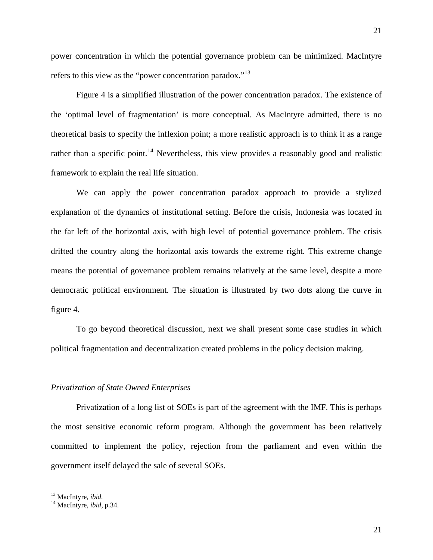<span id="page-22-0"></span>power concentration in which the potential governance problem can be minimized. MacIntyre refers to this view as the "power concentration paradox."<sup>[13](#page-22-0)</sup>

Figure 4 is a simplified illustration of the power concentration paradox. The existence of the 'optimal level of fragmentation' is more conceptual. As MacIntyre admitted, there is no theoretical basis to specify the inflexion point; a more realistic approach is to think it as a range rather than a specific point.<sup>[14](#page-22-0)</sup> Nevertheless, this view provides a reasonably good and realistic framework to explain the real life situation.

We can apply the power concentration paradox approach to provide a stylized explanation of the dynamics of institutional setting. Before the crisis, Indonesia was located in the far left of the horizontal axis, with high level of potential governance problem. The crisis drifted the country along the horizontal axis towards the extreme right. This extreme change means the potential of governance problem remains relatively at the same level, despite a more democratic political environment. The situation is illustrated by two dots along the curve in figure 4.

To go beyond theoretical discussion, next we shall present some case studies in which political fragmentation and decentralization created problems in the policy decision making.

#### *Privatization of State Owned Enterprises*

 Privatization of a long list of SOEs is part of the agreement with the IMF. This is perhaps the most sensitive economic reform program. Although the government has been relatively committed to implement the policy, rejection from the parliament and even within the government itself delayed the sale of several SOEs.

<sup>13</sup> MacIntyre, *ibid.* 14 MacIntyre, *ibid,* p.34.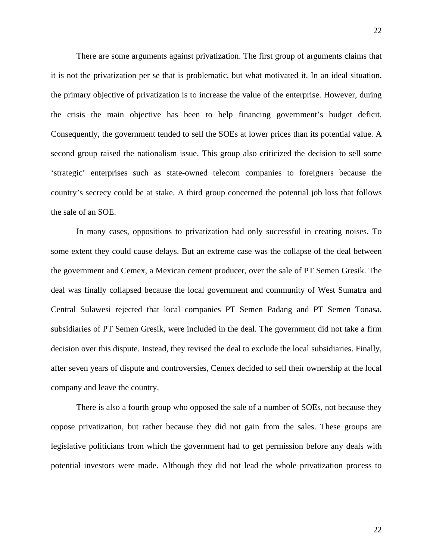There are some arguments against privatization. The first group of arguments claims that it is not the privatization per se that is problematic, but what motivated it. In an ideal situation, the primary objective of privatization is to increase the value of the enterprise. However, during the crisis the main objective has been to help financing government's budget deficit. Consequently, the government tended to sell the SOEs at lower prices than its potential value. A second group raised the nationalism issue. This group also criticized the decision to sell some 'strategic' enterprises such as state-owned telecom companies to foreigners because the country's secrecy could be at stake. A third group concerned the potential job loss that follows the sale of an SOE.

In many cases, oppositions to privatization had only successful in creating noises. To some extent they could cause delays. But an extreme case was the collapse of the deal between the government and Cemex, a Mexican cement producer, over the sale of PT Semen Gresik. The deal was finally collapsed because the local government and community of West Sumatra and Central Sulawesi rejected that local companies PT Semen Padang and PT Semen Tonasa, subsidiaries of PT Semen Gresik, were included in the deal. The government did not take a firm decision over this dispute. Instead, they revised the deal to exclude the local subsidiaries. Finally, after seven years of dispute and controversies, Cemex decided to sell their ownership at the local company and leave the country.

 There is also a fourth group who opposed the sale of a number of SOEs, not because they oppose privatization, but rather because they did not gain from the sales. These groups are legislative politicians from which the government had to get permission before any deals with potential investors were made. Although they did not lead the whole privatization process to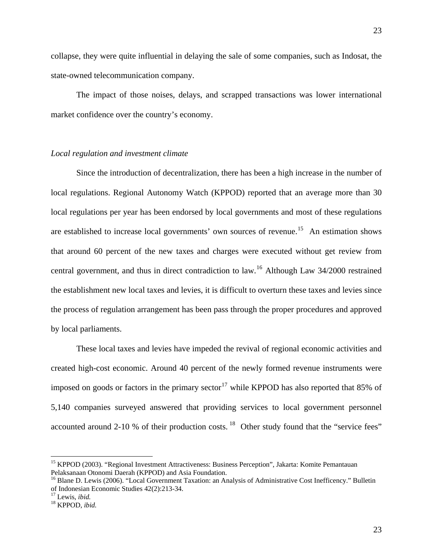<span id="page-24-0"></span>collapse, they were quite influential in delaying the sale of some companies, such as Indosat, the state-owned telecommunication company.

 The impact of those noises, delays, and scrapped transactions was lower international market confidence over the country's economy.

## *Local regulation and investment climate*

Since the introduction of decentralization, there has been a high increase in the number of local regulations. Regional Autonomy Watch (KPPOD) reported that an average more than 30 local regulations per year has been endorsed by local governments and most of these regulations are established to increase local governments' own sources of revenue.<sup>[15](#page-24-0)</sup> An estimation shows that around 60 percent of the new taxes and charges were executed without get review from central government, and thus in direct contradiction to law.[16](#page-24-0) Although Law 34/2000 restrained the establishment new local taxes and levies, it is difficult to overturn these taxes and levies since the process of regulation arrangement has been pass through the proper procedures and approved by local parliaments.

 These local taxes and levies have impeded the revival of regional economic activities and created high-cost economic. Around 40 percent of the newly formed revenue instruments were imposed on goods or factors in the primary sector<sup>[17](#page-24-0)</sup> while KPPOD has also reported that 85% of 5,140 companies surveyed answered that providing services to local government personnel accounted around 2-10 % of their production costs.<sup>[18](#page-24-0)</sup> Other study found that the "service fees"

<sup>&</sup>lt;sup>15</sup> KPPOD (2003). "Regional Investment Attractiveness: Business Perception", Jakarta: Komite Pemantauan Pelaksanaan Otonomi Daerah (KPPOD) and Asia Foundation.

<sup>&</sup>lt;sup>16</sup> Blane D. Lewis (2006). "Local Government Taxation: an Analysis of Administrative Cost Inefficency." Bulletin of Indonesian Economic Studies  $42(2):213-34$ .<br><sup>17</sup> Lewis. *ibid.* 

<sup>&</sup>lt;sup>18</sup> KPPOD, *ibid.*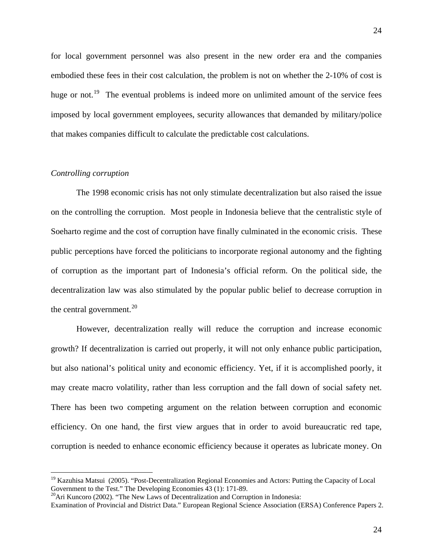<span id="page-25-0"></span>for local government personnel was also present in the new order era and the companies embodied these fees in their cost calculation, the problem is not on whether the 2-10% of cost is huge or not.<sup>[19](#page-25-0)</sup> The eventual problems is indeed more on unlimited amount of the service fees imposed by local government employees, security allowances that demanded by military/police that makes companies difficult to calculate the predictable cost calculations.

## *Controlling corruption*

 $\overline{a}$ 

The 1998 economic crisis has not only stimulate decentralization but also raised the issue on the controlling the corruption. Most people in Indonesia believe that the centralistic style of Soeharto regime and the cost of corruption have finally culminated in the economic crisis. These public perceptions have forced the politicians to incorporate regional autonomy and the fighting of corruption as the important part of Indonesia's official reform. On the political side, the decentralization law was also stimulated by the popular public belief to decrease corruption in the central government. $^{20}$  $^{20}$  $^{20}$ 

However, decentralization really will reduce the corruption and increase economic growth? If decentralization is carried out properly, it will not only enhance public participation, but also national's political unity and economic efficiency. Yet, if it is accomplished poorly, it may create macro volatility, rather than less corruption and the fall down of social safety net. There has been two competing argument on the relation between corruption and economic efficiency. On one hand, the first view argues that in order to avoid bureaucratic red tape, corruption is needed to enhance economic efficiency because it operates as lubricate money. On

<sup>&</sup>lt;sup>19</sup> Kazuhisa Matsui (2005). "Post-Decentralization Regional Economies and Actors: Putting the Capacity of Local Government to the Test." The Developing Economies 43 (1): 171-89.

<sup>&</sup>lt;sup>20</sup>Ari Kuncoro (2002). "The New Laws of Decentralization and Corruption in Indonesia:

Examination of Provincial and District Data." European Regional Science Association (ERSA) Conference Papers 2.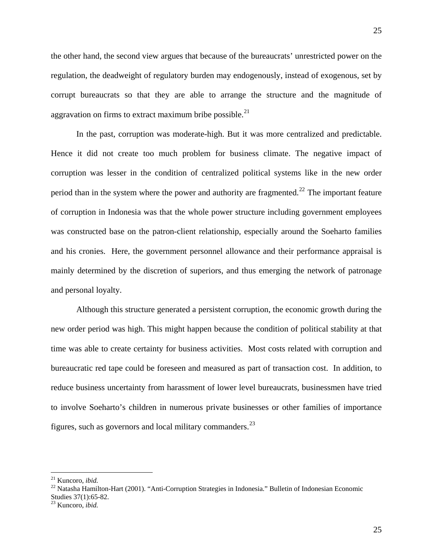<span id="page-26-0"></span>the other hand, the second view argues that because of the bureaucrats' unrestricted power on the regulation, the deadweight of regulatory burden may endogenously, instead of exogenous, set by corrupt bureaucrats so that they are able to arrange the structure and the magnitude of aggravation on firms to extract maximum bribe possible.<sup>[21](#page-26-0)</sup>

In the past, corruption was moderate-high. But it was more centralized and predictable. Hence it did not create too much problem for business climate. The negative impact of corruption was lesser in the condition of centralized political systems like in the new order period than in the system where the power and authority are fragmented.<sup>[22](#page-26-0)</sup> The important feature of corruption in Indonesia was that the whole power structure including government employees was constructed base on the patron-client relationship, especially around the Soeharto families and his cronies. Here, the government personnel allowance and their performance appraisal is mainly determined by the discretion of superiors, and thus emerging the network of patronage and personal loyalty.

Although this structure generated a persistent corruption, the economic growth during the new order period was high. This might happen because the condition of political stability at that time was able to create certainty for business activities. Most costs related with corruption and bureaucratic red tape could be foreseen and measured as part of transaction cost. In addition, to reduce business uncertainty from harassment of lower level bureaucrats, businessmen have tried to involve Soeharto's children in numerous private businesses or other families of importance figures, such as governors and local military commanders. $^{23}$  $^{23}$  $^{23}$ 

 $21$  Kuncoro, *ibid.* 

<sup>&</sup>lt;sup>22</sup> Natasha Hamilton-Hart (2001). "Anti-Corruption Strategies in Indonesia." Bulletin of Indonesian Economic Studies 37(1):65-82.

<sup>23</sup> Kuncoro, *ibid.*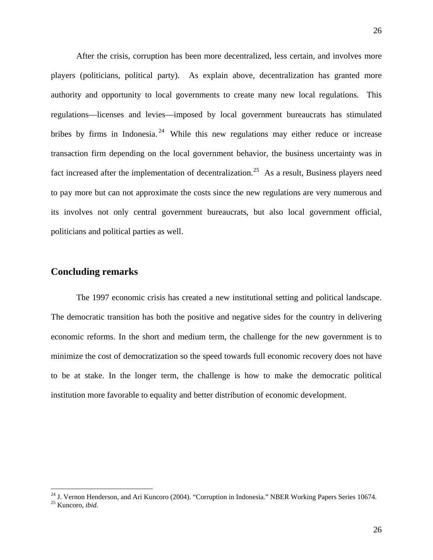<span id="page-27-0"></span>After the crisis, corruption has been more decentralized, less certain, and involves more players (politicians, political party). As explain above, decentralization has granted more authority and opportunity to local governments to create many new local regulations. This regulations—licenses and levies—imposed by local government bureaucrats has stimulated bribes by firms in Indonesia.<sup>[24](#page-27-0)</sup> While this new regulations may either reduce or increase transaction firm depending on the local government behavior, the business uncertainty was in fact increased after the implementation of decentralization.<sup>[25](#page-27-0)</sup> As a result, Business players need to pay more but can not approximate the costs since the new regulations are very numerous and its involves not only central government bureaucrats, but also local government official, politicians and political parties as well.

# **Concluding remarks**

 The 1997 economic crisis has created a new institutional setting and political landscape. The democratic transition has both the positive and negative sides for the country in delivering economic reforms. In the short and medium term, the challenge for the new government is to minimize the cost of democratization so the speed towards full economic recovery does not have to be at stake. In the longer term, the challenge is how to make the democratic political institution more favorable to equality and better distribution of economic development.

<sup>&</sup>lt;sup>24</sup> J. Vernon Henderson, and Ari Kuncoro (2004). "Corruption in Indonesia." NBER Working Papers Series 10674.

<sup>25</sup> Kuncoro, *ibid.*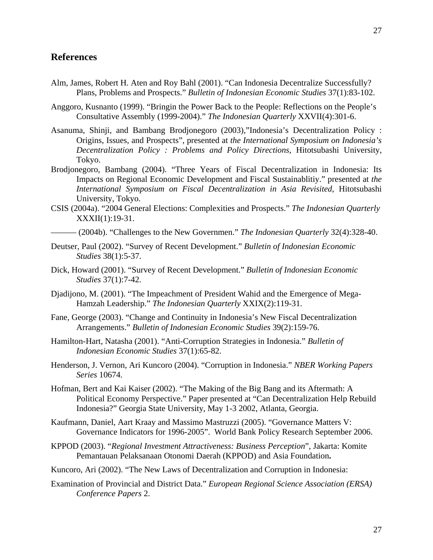# **References**

- Alm, James, Robert H. Aten and Roy Bahl (2001). "Can Indonesia Decentralize Successfully? Plans, Problems and Prospects." *Bulletin of Indonesian Economic Studies* 37(1):83-102.
- Anggoro, Kusnanto (1999). "Bringin the Power Back to the People: Reflections on the People's Consultative Assembly (1999-2004)." *The Indonesian Quarterly* XXVII(4):301-6.
- Asanuma, Shinji, and Bambang Brodjonegoro (2003),"Indonesia's Decentralization Policy : Origins, Issues, and Prospects", presented at *the International Symposium on Indonesia's Decentralization Policy : Problems and Policy Directions*, Hitotsubashi University, Tokyo.
- Brodjonegoro, Bambang (2004). "Three Years of Fiscal Decentralization in Indonesia: Its Impacts on Regional Economic Development and Fiscal Sustainablitiy." presented at *the International Symposium on Fiscal Decentralization in Asia Revisited*, Hitotsubashi University, Tokyo.
- CSIS (2004a). "2004 General Elections: Complexities and Prospects." *The Indonesian Quarterly* XXXII(1):19-31.
	- ——— (2004b). "Challenges to the New Governmen." *The Indonesian Quarterly* 32(4):328-40.
- Deutser, Paul (2002). "Survey of Recent Development." *Bulletin of Indonesian Economic Studies* 38(1):5-37.
- Dick, Howard (2001). "Survey of Recent Development." *Bulletin of Indonesian Economic Studies* 37(1):7-42.
- Djadijono, M. (2001). "The Impeachment of President Wahid and the Emergence of Mega-Hamzah Leadership." *The Indonesian Quarterly* XXIX(2):119-31.
- Fane, George (2003). "Change and Continuity in Indonesia's New Fiscal Decentralization Arrangements." *Bulletin of Indonesian Economic Studies* 39(2):159-76.
- Hamilton-Hart, Natasha (2001). "Anti-Corruption Strategies in Indonesia." *Bulletin of Indonesian Economic Studies* 37(1):65-82.
- Henderson, J. Vernon, Ari Kuncoro (2004). "Corruption in Indonesia." *NBER Working Papers Series* 10674.
- Hofman, Bert and Kai Kaiser (2002). "The Making of the Big Bang and its Aftermath: A Political Economy Perspective." Paper presented at "Can Decentralization Help Rebuild Indonesia?" Georgia State University, May 1-3 2002, Atlanta, Georgia.
- Kaufmann, Daniel, Aart Kraay and Massimo Mastruzzi (2005). "Governance Matters V: Governance Indicators for 1996-2005". World Bank Policy Research September 2006.
- KPPOD (2003). "*Regional Investment Attractiveness: Business Perception*", Jakarta: Komite Pemantauan Pelaksanaan Otonomi Daerah (KPPOD) and Asia Foundation**.**
- Kuncoro, Ari (2002). "The New Laws of Decentralization and Corruption in Indonesia:

Examination of Provincial and District Data." *European Regional Science Association (ERSA) Conference Papers* 2.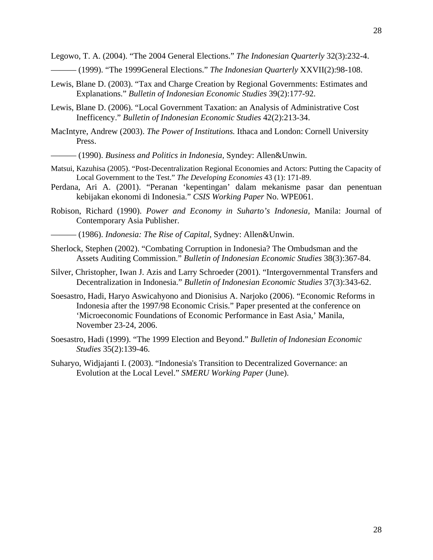- ——— (1999). "The 1999General Elections." *The Indonesian Quarterly* XXVII(2):98-108.
- Lewis, Blane D. (2003). "Tax and Charge Creation by Regional Governments: Estimates and Explanations." *Bulletin of Indonesian Economic Studies* 39(2):177-92.
- Lewis, Blane D. (2006). "Local Government Taxation: an Analysis of Administrative Cost Inefficency." *Bulletin of Indonesian Economic Studies* 42(2):213-34.
- MacIntyre, Andrew (2003). *The Power of Institutions.* Ithaca and London: Cornell University Press.

——— (1990). *Business and Politics in Indonesia,* Syndey: Allen&Unwin.

- Matsui, Kazuhisa (2005). "Post-Decentralization Regional Economies and Actors: Putting the Capacity of Local Government to the Test." *The Developing Economies* 43 (1): 171-89.
- Perdana, Ari A. (2001). "Peranan 'kepentingan' dalam mekanisme pasar dan penentuan kebijakan ekonomi di Indonesia." *CSIS Working Paper* No. WPE061.
- Robison, Richard (1990). *Power and Economy in Suharto's Indonesia,* Manila: Journal of Contemporary Asia Publisher.
- ——— (1986). *Indonesia: The Rise of Capital,* Sydney: Allen&Unwin.
- Sherlock, Stephen (2002). "Combating Corruption in Indonesia? The Ombudsman and the Assets Auditing Commission." *Bulletin of Indonesian Economic Studies* 38(3):367-84.
- Silver, Christopher, Iwan J. Azis and Larry Schroeder (2001). "Intergovernmental Transfers and Decentralization in Indonesia." *Bulletin of Indonesian Economic Studies* 37(3):343-62.
- Soesastro, Hadi, Haryo Aswicahyono and Dionisius A. Narjoko (2006). "Economic Reforms in Indonesia after the 1997/98 Economic Crisis." Paper presented at the conference on 'Microeconomic Foundations of Economic Performance in East Asia,' Manila, November 23-24, 2006.
- Soesastro, Hadi (1999). "The 1999 Election and Beyond." *Bulletin of Indonesian Economic Studies* 35(2):139-46.
- Suharyo, Widjajanti I. (2003). "Indonesia's Transition to Decentralized Governance: an Evolution at the Local Level." *SMERU Working Paper* (June).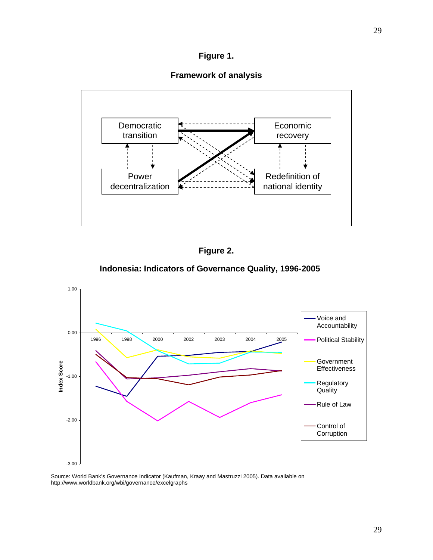

**Framework of analysis** 





# **Indonesia: Indicators of Governance Quality, 1996-2005**



Source: World Bank's Governance Indicator (Kaufman, Kraay and Mastruzzi 2005). Data available on http://www.worldbank.org/wbi/governance/excelgraphs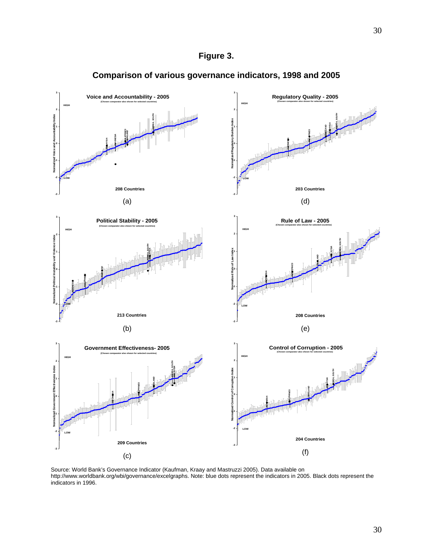



# **Comparison of various governance indicators, 1998 and 2005**

Source: World Bank's Governance Indicator (Kaufman, Kraay and Mastruzzi 2005). Data available on http://www.worldbank.org/wbi/governance/excelgraphs. Note: blue dots represent the indicators in 2005. Black dots represent the indicators in 1996.